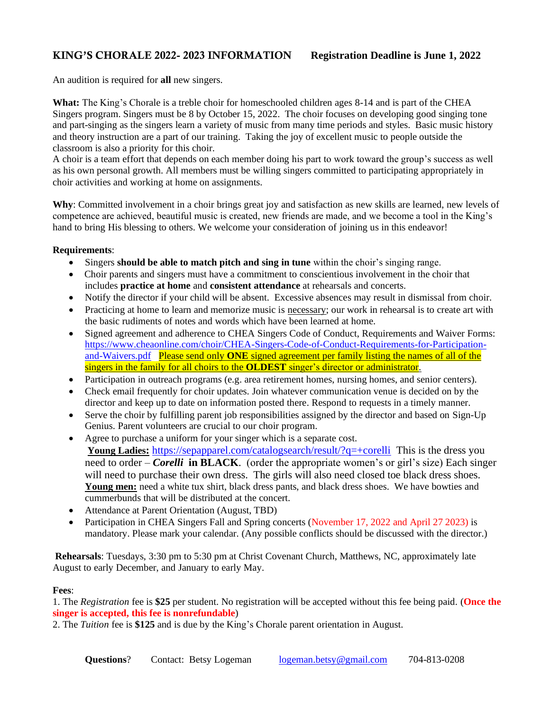## KING'S CHORALE 2022- 2023 INFORMATION **Registration Deadline is June 1, 2022**

An audition is required for **all** new singers.

**What:** The King's Chorale is a treble choir for homeschooled children ages 8-14 and is part of the CHEA Singers program. Singers must be 8 by October 15, 2022. The choir focuses on developing good singing tone and part-singing as the singers learn a variety of music from many time periods and styles. Basic music history and theory instruction are a part of our training. Taking the joy of excellent music to people outside the classroom is also a priority for this choir.

A choir is a team effort that depends on each member doing his part to work toward the group's success as well as his own personal growth. All members must be willing singers committed to participating appropriately in choir activities and working at home on assignments.

**Why**: Committed involvement in a choir brings great joy and satisfaction as new skills are learned, new levels of competence are achieved, beautiful music is created, new friends are made, and we become a tool in the King's hand to bring His blessing to others. We welcome your consideration of joining us in this endeavor!

## **Requirements**:

- Singers **should be able to match pitch and sing in tune** within the choir's singing range.
- Choir parents and singers must have a commitment to conscientious involvement in the choir that includes **practice at home** and **consistent attendance** at rehearsals and concerts.
- Notify the director if your child will be absent. Excessive absences may result in dismissal from choir.
- Practicing at home to learn and memorize music is necessary; our work in rehearsal is to create art with the basic rudiments of notes and words which have been learned at home.
- Signed agreement and adherence to CHEA Singers Code of Conduct, Requirements and Waiver Forms: [https://www.cheaonline.com/choir/CHEA-Singers-Code-of-Conduct-Requirements-for-Participation](https://www.cheaonline.com/choir/CHEA-Singers-Code-of-Conduct-Requirements-for-Participation-and-Waivers.pdf)[and-Waivers.pdf](https://www.cheaonline.com/choir/CHEA-Singers-Code-of-Conduct-Requirements-for-Participation-and-Waivers.pdf) Please send only **ONE** signed agreement per family listing the names of all of the singers in the family for all choirs to the **OLDEST** singer's director or administrator.
- Participation in outreach programs (e.g. area retirement homes, nursing homes, and senior centers).
- Check email frequently for choir updates. Join whatever communication venue is decided on by the director and keep up to date on information posted there. Respond to requests in a timely manner.
- Serve the choir by fulfilling parent job responsibilities assigned by the director and based on Sign-Up Genius. Parent volunteers are crucial to our choir program.
- Agree to purchase a uniform for your singer which is a separate cost. **Young Ladies:** <https://sepapparel.com/catalogsearch/result/?q=+corelli>This is the dress you need to order – *Corelli* **in BLACK**. (order the appropriate women's or girl's size) Each singer will need to purchase their own dress. The girls will also need closed toe black dress shoes. **Young men:** need a white tux shirt, black dress pants, and black dress shoes. We have bowties and cummerbunds that will be distributed at the concert.
- Attendance at Parent Orientation (August, TBD)
- Participation in CHEA Singers Fall and Spring concerts (November 17, 2022 and April 27 2023) is mandatory. Please mark your calendar. (Any possible conflicts should be discussed with the director.)

**Rehearsals**: Tuesdays, 3:30 pm to 5:30 pm at Christ Covenant Church, Matthews, NC, approximately late August to early December, and January to early May.

## **Fees**:

1. The *Registration* fee is **\$25** per student. No registration will be accepted without this fee being paid. (**Once the singer is accepted, this fee is nonrefundable**)

2. The *Tuition* fee is **\$125** and is due by the King's Chorale parent orientation in August.